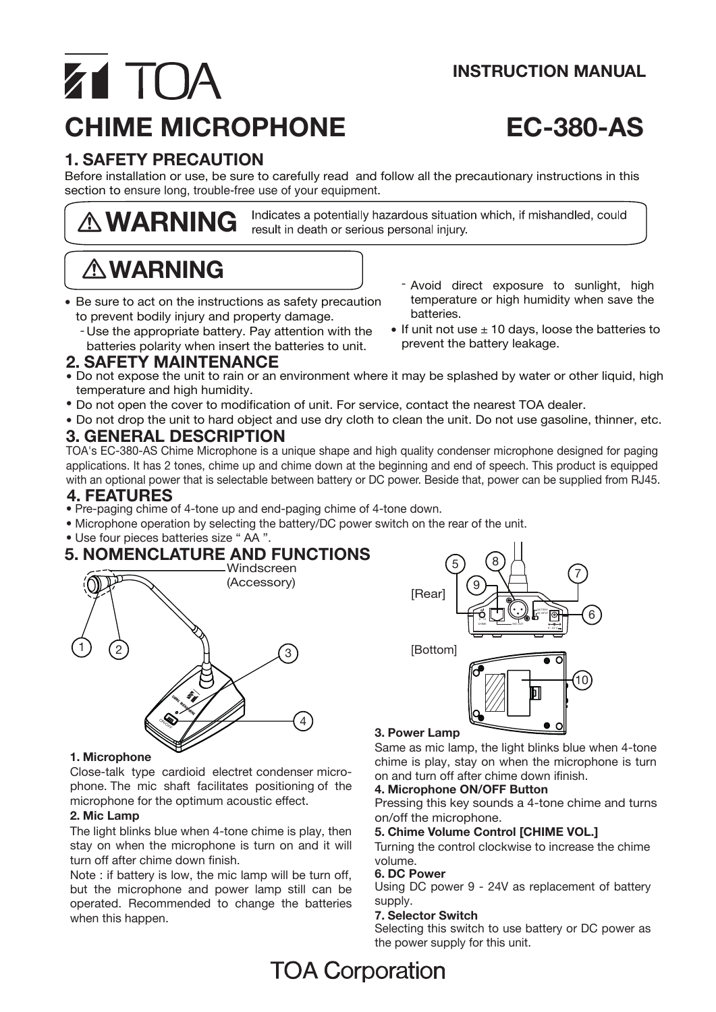### **INSTRUCTION MANUAL**

# Z1 TOA **CHIME MICROPHONE EC-380-AS**

### **1. SAFETY PRECAUTION**

Before installation or use, be sure to carefully read and follow all the precautionary instructions in this section to ensure long, trouble-free use of your equipment.

 **WARNING**

Indicates a potentially hazardous situation which, if mishandled, could result in death or serious personal injury.

## **WARNING**

- Be sure to act on the instructions as safety precaution to prevent bodily injury and property damage.
	- Use the appropriate battery. Pay attention with the . batteries polarity when insert the batteries to unit.

### **2. SAFETY MAINTENANCE**

- Do not expose the unit to rain or an environment where it may be splashed by water or other liquid, high temperature and high humidity.
- \* Do not open the cover to modification of unit. For service, contact the nearest TOA dealer.
- **3. GENERAL DESCRIPTION** Do not drop the unit to hard object and use dry cloth to clean the unit. Do not use gasoline, thinner, etc. p

TOA's EC-380-AS Chime Microphone is a unique shape and high quality condenser microphone designed for paging applications. It has 2 tones, chime up and chime down at the beginning and end of speech. This product is equipped with an optional power that is selectable between battery or DC power. Beside that, power can be supplied from RJ45.

### **4. FEATURES**

- Pre-paging chime of 4-tone up and end-paging chime of 4-tone down.
- Microphone operation by selecting the battery/DC power switch on the rear of the unit.
- Use four pieces batteries size " AA ".

#### **5. NOMENCLATURE AND FUNCTIONS** Windecreen



### **1. Microphone**

Close-talk type cardioid electret condenser microphone. The mic shaft facilitates positioning of the microphone for the optimum acoustic effect.

### **2. Mic Lamp**

The light blinks blue when 4-tone chime is play, then stay on when the microphone is turn on and it will turn off after chime down finish.

Note : if battery is low, the mic lamp will be turn off, but the microphone and power lamp still can be operated. Recommended to change the batteries when this happen.





### **3. Power Lamp**

Same as mic lamp, the light blinks blue when 4-tone chime is play, stay on when the microphone is turn on and turn off after chime down ifinish.

### **4. Microphone ON/OFF Button**

Pressing this key sounds a 4-tone chime and turns on/off the microphone.

### **5. Chime Volume Control [CHIME VOL.]**

Turning the control clockwise to increase the chime volume.

### **6. DC Power**

Using DC power 9 - 24V as replacement of battery supply.

### **7. Selector Switch**

Selecting this switch to use battery or DC power as the power supply for this unit.

### **TOA Corporation**

- Avoid direct exposure to sunlight, high temperature or high humidity when save the batteries.
- $\bullet$  If unit not use  $\pm$  10 days, loose the batteries to prevent the battery leakage.
-